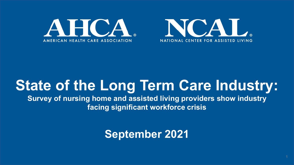



# **State of the Long Term Care Industry:**

**Survey of nursing home and assisted living providers show industry facing significant workforce crisis**

**September 2021**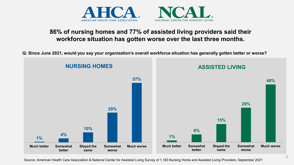



#### **86% of nursing homes and 77% of assisted living providers said their workforce situation has gotten worse over the last three months.**

**Q: Since June 2021, would you say your organization's overall workforce situation has generally gotten better or worse?**

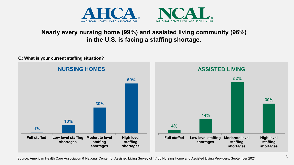



### **Nearly every nursing home (99%) and assisted living community (96%) in the U.S. is facing a staffing shortage.**

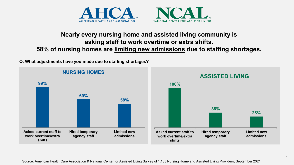



## **Nearly every nursing home and assisted living community is asking staff to work overtime or extra shifts.**

**58% of nursing homes are limiting new admissions due to staffing shortages.** 



**Q. What adjustments have you made due to staffing shortages?**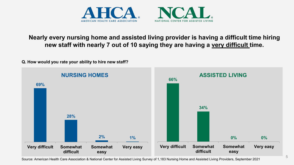



### **Nearly every nursing home and assisted living provider is having a difficult time hiring new staff with nearly 7 out of 10 saying they are having a very difficult time.**



**Q. How would you rate your ability to hire new staff?**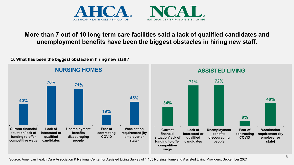



### **More than 7 out of 10 long term care facilities said a lack of qualified candidates and unemployment benefits have been the biggest obstacles in hiring new staff.**

#### **Q. What has been the biggest obstacle in hiring new staff?**